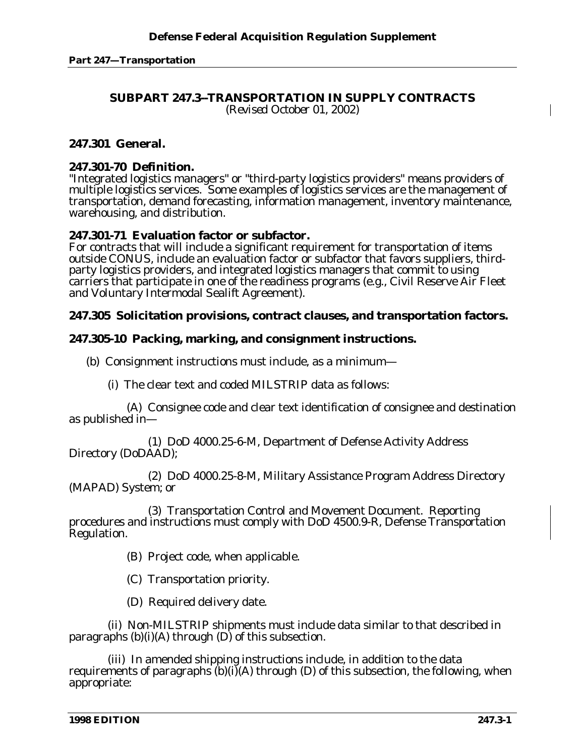# **SUBPART 247.3--TRANSPORTATION IN SUPPLY CONTRACTS**

*(Revised October 01, 2002)*

# **247.301 General.**

# **247.301-70 Definition.**

"Integrated logistics managers" or "third-party logistics providers" means providers of multiple logistics services. Some examples of logistics services are the management of transportation, demand forecasting, information management, inventory maintenance, warehousing, and distribution.

# **247.301-71 Evaluation factor or subfactor.**

For contracts that will include a significant requirement for transportation of items outside CONUS, include an evaluation factor or subfactor that favors suppliers, thirdparty logistics providers, and integrated logistics managers that commit to using carriers that participate in one of the readiness programs (e.g., Civil Reserve Air Fleet and Voluntary Intermodal Sealift Agreement).

# **247.305 Solicitation provisions, contract clauses, and transportation factors.**

# **247.305-10 Packing, marking, and consignment instructions.**

(b) Consignment instructions must include, as a minimum—

(i) The clear text and coded MILSTRIP data as follows:

(A) Consignee code and clear text identification of consignee and destination as published in—

*(1)* DoD 4000.25-6-M, Department of Defense Activity Address Directory (DoDAAD);

*(2)* DoD 4000.25-8-M, Military Assistance Program Address Directory (MAPAD) System; or

*(3)* Transportation Control and Movement Document. Reporting procedures and instructions must comply with DoD 4500.9-R, Defense Transportation Regulation.

(B) Project code, when applicable.

(C) Transportation priority.

(D) Required delivery date.

(ii) Non-MILSTRIP shipments must include data similar to that described in paragraphs  $(b)(i)(A)$  through  $(D)$  of this subsection.

(iii) In amended shipping instructions include, in addition to the data requirements of paragraphs  $(b)(i)(A)$  through  $(D)$  of this subsection, the following, when appropriate: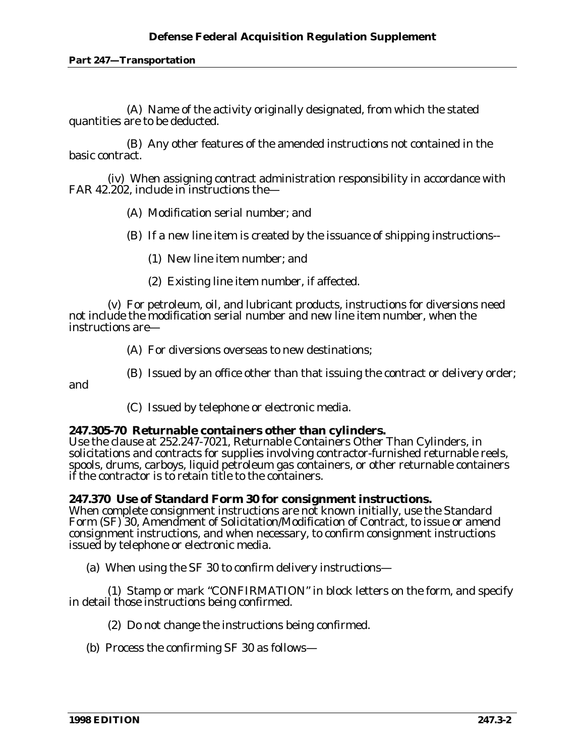### **Defense Federal Acquisition Regulation Supplement**

#### **Part 247—Transportation**

(A) Name of the activity originally designated, from which the stated quantities are to be deducted.

(B) Any other features of the amended instructions not contained in the basic contract.

(iv) When assigning contract administration responsibility in accordance with FAR 42.202, include in instructions the—

- (A) Modification serial number; and
- (B) If a new line item is created by the issuance of shipping instructions--
	- *(1)* New line item number; and
	- *(2)* Existing line item number, if affected.

(v) For petroleum, oil, and lubricant products, instructions for diversions need not include the modification serial number and new line item number, when the instructions are—

(A) For diversions overseas to new destinations;

(B) Issued by an office other than that issuing the contract or delivery order;

and

(C) Issued by telephone or electronic media.

#### **247.305-70 Returnable containers other than cylinders.**

Use the clause at 252.247-7021, Returnable Containers Other Than Cylinders, in solicitations and contracts for supplies involving contractor-furnished returnable reels, spools, drums, carboys, liquid petroleum gas containers, or other returnable containers if the contractor is to retain title to the containers.

### **247.370 Use of Standard Form 30 for consignment instructions.**

When complete consignment instructions are not known initially, use the Standard Form (SF) 30, Amendment of Solicitation/Modification of Contract, to issue or amend consignment instructions, and when necessary, to confirm consignment instructions issued by telephone or electronic media.

(a) When using the SF 30 to confirm delivery instructions—

(1) Stamp or mark "CONFIRMATION" in block letters on the form, and specify in detail those instructions being confirmed.

(2) Do not change the instructions being confirmed.

(b) Process the confirming SF 30 as follows—